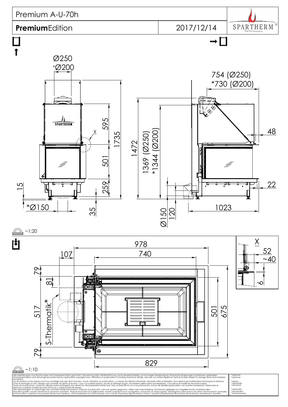## Premium A-U-70h

## **Premium**Edition

2017/12/14

SPARTHERM Ō

 $\rightarrow \Box$ 



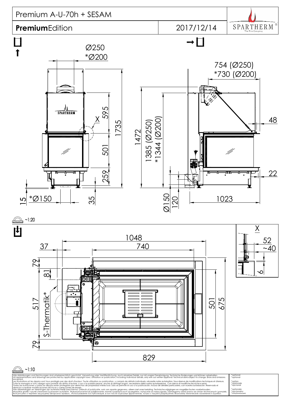



## $~1:10$ á

Alle Abbildungen und Zeichnungen sind urheberrechtlich geschützt. Verwertung oder Veröffentlichung, auch einzelner Details, nur mit unserer Genehmigung. Technische Änderungen und Irrtümer vorbehalten. All representations and drawings are protected by applicable copyright laws. Utilisation or publication, including individual details, only with our written approval. Technical data subject to change. Errors and omissions excepted. Les illustrations et les dessins sont tous protégés par des droit d'auteur. Toute utilisation ou publication, y compris de détails individuels, nécessite notre autorisation. Sous réserve de modifications techniques et d'er Tutte le immagini e tutti i disegni sono protetti da diritto d'autore. L'uso o la pubblicazione, anche di dettagli singoli, necessitano della nostra autorizzazione. Con riserva di modifiche tecniche e errori. Todas las ilustaciones y todos los dibujos están protegidos por derechos de propiedad intelectual. Solo se permite el uso o la publicación, incluso de detalles particulares, con nuestra autorización. Reservado el derecho a realizar modificaciones técnicas y correcciones de errores. Alle afbeeldingen en tekeningen zijn autersrechtelijk beschermd. Gebruik of publicatie, ook van aparte gegevens, alleen met onze toelating. Technische wijzigingen en mogelijke fouten voorbehouden. Wszystkie grafiki i rysunki chronione są prawem autorskim. Wykorzystywanie lub publikowanie, równie ż pojedynczych szczegółów, wyłącznie za naszą zgodą. Zastrzegamy sobie prawo do zmian technicznych i pomyłek.

Все рисунки и чертежи защищены авторским правом.. Использование или публикация, в том числе отдельных фрагментов, только с нашего разрешения. Возможны технические изменения и ошибки.

\*optional \*optional \*option \*opzionale \*opcional \*optionele \*opcjonalny \*опционально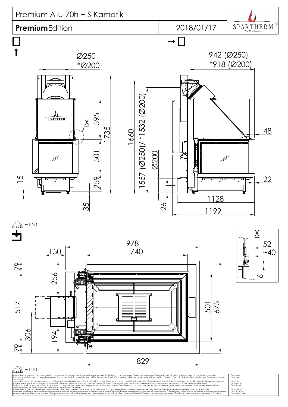



  $~10$  $\bm{\varsigma}$ 

Alle Abbildungen und Zeichnungen sind urheberrechtlich geschützt. Verwertung oder Veröffentlichung, auch einzelner Details, nur mit unserer Genehmigung. Technische Änderungen und Irrtümer vorbehalten. All representations and drawings are protected by applicable copyright laws. Utilisation or publication, including individual details, only with our written approval. Technical data subject to change. Errors and omissions excepted. Les illustrations et les dessins sont tous protégés par des droit d'auteur. Toute utilisation ou publication, y compris de détails individuels, nécessite notre autorisation. Sous réserve de modifications techniques et d'er Tutte le immagini e tutti i disegni sono protetti da diritto d'autore. L'uso o la pubblicazione, anche di dettagli singoli, necessitano della nostra autorizzazione. Con riserva di modifiche tecniche e errori. Todas las ilustaciones y todos los dibujos están protegidos por derechos de propiedad intelectual. Solo se permite el uso o la publicación, incluso de detalles particulares, con nuestra autorización. Reservado el derecho a realizar modificaciones técnicas y correcciones de errores. Alle afbeeldingen en tekeningen zijn autersrechtelijk beschermd. Gebruik of publicatie, ook van aparte gegevens, alleen met onze toelating. Technische wijzigingen en mogelijke fouten voorbehouden.

Wszystkie grafiki i rysunki chronione są prawem autorskim. Wykorzystywanie lub publikowanie, równie ż pojedynczych szczegółów, wyłącznie za naszą zgodą. Zastrzegamy sobie prawo do zmian technicznych i pomyłek. Все рисунки и чертежи защищены авторским правом.. Использование или публикация, в том числе отдельных фрагментов, только с нашего разрешения. Возможны технические изменения и ошибки.